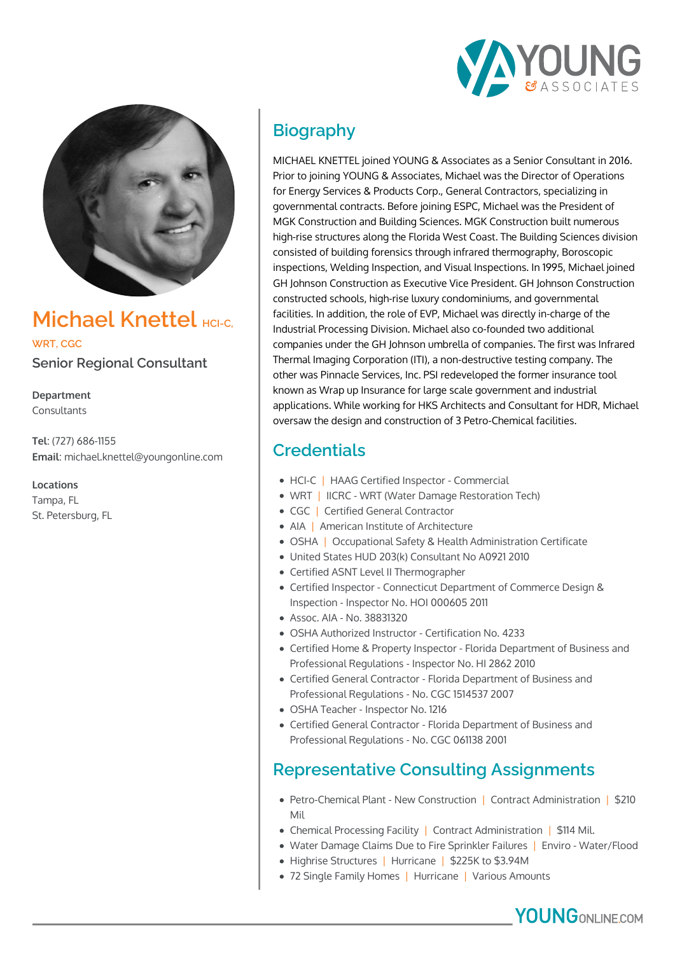



## **Michael Knettel**

**WRT, CGC**

**Senior Regional Consultant**

**Department** Consultants

**Tel**: (727) 686-1155 **Email**: michael.knettel@youngonline.com

**Locations**

Tampa, FL St. Petersburg, FL

# **Biography**

MICHAEL KNETTEL joined YOUNG & Associates as a Senior Consultant in 2016. Prior to joining YOUNG & Associates, Michael was the Director of Operations for Energy Services & Products Corp., General Contractors, specializing in governmental contracts. Before joining ESPC, Michael was the President of MGK Construction and Building Sciences. MGK Construction built numerous high-rise structures along the Florida West Coast. The Building Sciences division consisted of building forensics through infrared thermography, Boroscopic inspections, Welding Inspection, and Visual Inspections. In 1995, Michael joined GH Johnson Construction as Executive Vice President. GH Johnson Construction constructed schools, high-rise luxury condominiums, and governmental facilities. In addition, the role of EVP, Michael was directly in-charge of the Industrial Processing Division. Michael also co-founded two additional companies under the GH Johnson umbrella of companies. The first was Infrared Thermal Imaging Corporation (ITI), a non-destructive testing company. The other was Pinnacle Services, Inc. PSI redeveloped the former insurance tool known as Wrap up Insurance for large scale government and industrial applications. While working for HKS Architects and Consultant for HDR, Michael oversaw the design and construction of 3 Petro-Chemical facilities.

### **Credentials**

- HCI-C | HAAG Certified Inspector Commercial
- WRT | IICRC WRT (Water Damage Restoration Tech)
- CGC | Certified General Contractor
- AIA | American Institute of Architecture
- OSHA | Occupational Safety & Health Administration Certificate
- United States HUD 203(k) Consultant No A0921 2010
- Certified ASNT Level II Thermographer
- Certified Inspector Connecticut Department of Commerce Design & Inspection - Inspector No. HOI 000605 2011
- Assoc. AIA No. 38831320
- OSHA Authorized Instructor Certification No. 4233
- Certified Home & Property Inspector Florida Department of Business and Professional Regulations - Inspector No. HI 2862 2010
- Certified General Contractor Florida Department of Business and Professional Regulations - No. CGC 1514537 2007
- OSHA Teacher Inspector No. 1216
- Certified General Contractor Florida Department of Business and Professional Regulations - No. CGC 061138 2001

### **Representative Consulting Assignments**

- Petro-Chemical Plant New Construction | Contract Administration | \$210 Mil
- Chemical Processing Facility | Contract Administration | \$114 Mil.
- Water Damage Claims Due to Fire Sprinkler Failures | Enviro Water/Flood
- Highrise Structures | Hurricane | \$225K to \$3.94M
- 72 Single Family Homes | Hurricane | Various Amounts